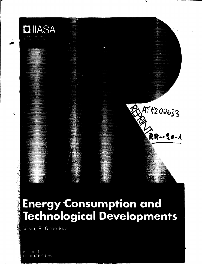

# **Energy Consumption and<br>Technological Developments**

Vasilij R. Okorokov

F/R 90 1 **FRRUARY 1990**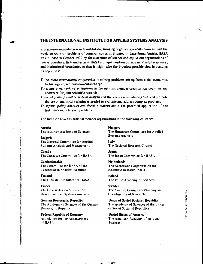### **THE INTERNATIONAL INSTITUTE FOR APPLIED SYSTEMS ANALYSIS**

is a nongovernmental research institution, bringing together scientists from around the world to work on problems of common concern. Situated in Laxenburg, Austria, IIASA was founded in October 1972 by the academies of science and equivalent organizations of twelve countries. Its founders gave IIASA a unique position outside national, disciplinary, and institutional boundaries so that it might take the broadest possible view in pursuing its objectives:

- *To promote international cooperation* in solving problems arising from social,economic, technological, and environmental change
- *To create a network of institutions* in the national member organization countries and elsewhere for joint scientific research
- *To develop and formalize systems analysis* and the sciences contributing to it, and promote the use of analytical techniques needed to evaluate and address complex problems
- *To inform policy advisors and decision makers* about the potential application of the Institute's work to such problems

The Institute now has national member organizations in the following countries:

#### **Austria**

The Austrian Academy of Sciences

**Bulgaria**  The National Committee for Applied Systems Analysis and Management

**Canada**  The Canadian Committee for IIASA

**Czechoslovakia**  The Committee for HASA of the Czechoslovak Socialist Republic

**Finland**  The Finnish Committee for IIASA

**France**  The French Association for the Development of Systems Analysis

**German Democratic Republic**  The French Association for the The Swedish Council for Planning and<br>
Development of Systems Analysis Coordination of Research<br>
Cerman Democratic Republic<br>
The Academy of Sciences of the German<br>
Democratic Republic<br>
Federal Democratic Republic **Democratic Republics** of Soviet Socialist Republics

**Federal Republic of Germany United States of America** | Association for the Advancement The American Academy of Arts and of IIASA Sciences

**Hungary** 

The Hungarian Committee for Applied Systems Analysis

**Italy**  The National Research Council

**Japan**  The Japan Committee for IIASA

**Netherlands**  The Netherlands Organization for Scientific Research, NWO

#### **Poland**

The Polish Academy of Sciences

#### **Sweden**

The Swedish Council for Planning and Coordination of Research

#### **Union of Soviet Socialist Republics**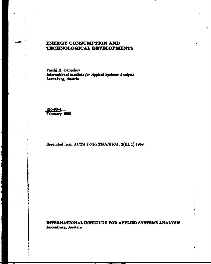# **ENERGY CONSUMPTION AND** TECHNOLOGICAL DEVELOPMENTS

Vasilij R. Okorokov International Institute for Applied Systems Analysis Lazenburg, Austria

RR-90-1 February 1990

Reprinted from ACTA POLYTECHNICA, 2(III, 1) 1989.

INTERNATIONAL INSTITUTE FOR APPLIED SYSTEMS ANALYSIS Laxenburg, Austria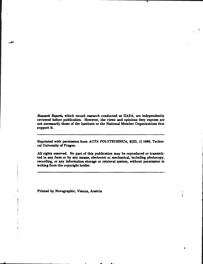*Retearch Report»,* **which record research conducted at IIASA, are independently reviewed before publication. However, the views and opinions they express are not necessarily those of the Institute or the National Member Organisations that support it.** 

**Reprinted with permission from** *ACTA POLYTECHNICA,* **2(111, 1) 1989, Technical University of Prague.** 

**All rights reserved. No part of this publication may be reproduced or transmitted in any form or by any means, electronic or mechanical, including photocopy, recording, or any information storage or retrieval system, without permission in writing from the copyright holder.** 

**i** 

ţ ŧ

**Printed by Novographic, Vienna, Austria** 

æ.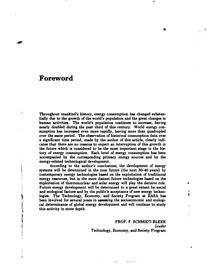# **Poreword**

t.<br>Tsa

しかだい まく

ANDREW ARTICLES OF THE CARD CONTROLLER CONTROLLER

 $\label{eq:1} \begin{array}{ll} \mathcal{L}_{\mathcal{M}} & \mathcal{M}_{\mathcal{M}} \rightarrow \mathcal{M}_{\mathcal{M}} \rightarrow \mathcal{M}_{\mathcal{M}} \rightarrow \mathcal{M}_{\mathcal{M}} \rightarrow \mathcal{M}_{\mathcal{M}} \rightarrow \mathcal{M}_{\mathcal{M}} \rightarrow \mathcal{M}_{\mathcal{M}} \rightarrow \mathcal{M}_{\mathcal{M}} \rightarrow \mathcal{M}_{\mathcal{M}} \rightarrow \mathcal{M}_{\mathcal{M}} \rightarrow \mathcal{M}_{\mathcal{M}} \rightarrow \mathcal{M}_{\mathcal{M}} \rightarrow \mathcal{M}_{\mathcal{M}} \rightarrow \mathcal{M}_{\mathcal{M$ 

**Throughout mankind's history, energy consumption has changed substantially due to the growth of the world's population and the great changes in human activities. The world's population continues to increase, having nearly doubled during the past third of this century. World energy consumption has increased even more rapidly, having more than quadrupled over the same period. The observation of historical consumption data over a significant time period, made by the author of this article, clearly indicates that there are no reasons to expect an interruption of this growth in the future which is considered to be the most important stage in the history of energy consumption. Each level of energy consumption has been accompanied by the corresponding primary energy sources and by the energy-related technological development.** 

**According to the author's conclusions, the development of energy systems will be determined in the near future (the next 30-40 years) by contemporary energy technologies based on the exploitation of traditional energy resources, but in the more distant future technologies based on the exploitation of thermonuclear and solar energy will play the decisive role. Future energy development will be determined to a great extent by social and ecological factors and by the public's acceptance of new energy techno**logies. The Technology, Economy, and Society Program at IIASA has **been involved for several years in assessing the socioeconomic and ecological determinants of global energy development and will continue to study this activity in more depth.** 

> **PROP. F. SCHMIDT-BLEEK**  *Leader*  **Technology, Economy, and Society Program**

iii

¥,

ţ

Ġ

**\***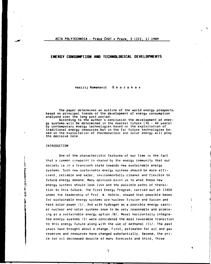#### **ACTA POLYTECHNICA - Prace CVUT** v **Praze. 2 (III. 1) 1989**

#### **ENERGY CONSUMPTION AND TECHNOLOGICAL DEVELOPMENTS**

vasilij Komanovic Okoroko v

The paper determines an outline of the world energy prospects based on principal trends of the development of energy consumption analysed over the long past period.

According to the author's conclusion the development of energy systems will be determined in the nearest future (30 - 40 years) by contemporary energy technologies based on the exploitation of traditional energy resources but in the far future technologies based on the exploitation of thermonuclear and solar energy will play the decisive role.

INTRODUCTION

2019年1月1日, 地方的复数 医生物的

医弹

One of the characteristic features of our time is the fact that a common viewpoint is shared by the energy community that our society is in a transient state towards new sustainable energy systems. Such new sustainable energy systems should be more efficient, reliable and safer, invironmentally cleaner and flexible to future energy demand. Many opinions exist as to what these new energy systems should look like and the possible paths of transition to this future. The first Energy Program, carried out at IIASA under the leadership of Prof. W. Hafele, showed that possible bases for sustainable energy systems are nuclear fission and fusion and hard solar power *III*. And with hydrogen as a possible energy carrier nuclear and solar systems seem to be very reasonable and promising as a sustainable energy option *IB/.* Novel horizontally integrated eneray systems *111* were considered the most favorable transition to this energy future along with the use of methanol *IWI.* The past years have brought about a change. First, estimates for oil and gas reserves and resources have changed substantially. Second, the price for oil decreased despite of many forecasts and third, Three

*b*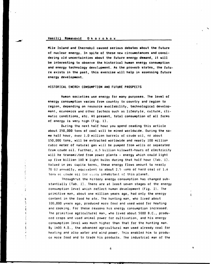#### **Vasilij Romat.ovic Okoroko v**

**Nile Island and Chernobyl caused serious debates about the future of nuclear energy. In spite of these new circumstances and considering old uncertainties about the future energy demand, it will be interesting to observe the historical human energy consumption**  and energy technology development. As the proverb states, the futu**re exists in the past, this exercise will help in assessing future energy development.** 

#### **HISTORICAL ENERGY CONSUMPTION AND FUTURE PROSPECTS**

Human societies **use** energy for **many** purposes. The **level** of energy **consumption** varies from country to country and region to region, depending on resource availability, technological development, economics and other factors such as lifestyle, culture, climatic conditions, etc. At present, total consumption of all forms of energy is very high (Fig. 1).

During the next half hour you spend reading this article about 250,000 tons of coal will be mined worldwide. During the same half hour, over 1.0 million barrels of crude oil, or about 150,000 tons, will be extracted worldwide and nearly 100 million cubic meter of natural gas will be pumped from wells or separated from crude oil. Further, U.5 billion kilowatt-hours of electricity will be transmitted from power plants - energy which could light up five billion  $100 \text{ W}$  light bulbs during that half hour (Tab. 1). Valued in pei capita terms, these energy flows amount to nearly 70 GJ annually, equivalent to about 2.5 ions of hard coal or 1.6 tons of urude oil for every inhabitant of this planet.

Ihroughout the history energy consumption has changed substantially (Tab. 2). There are at least seven stages of the energy consumption level which reflect human development (Fig. 2). The primitive man, about one million years ago, had only the energy content in the food he ate. The hunting man, who lived about 100,000 years ago, produced more food and used wood for heating and cooking. For these reasons his energy consumption increased. The primitive agricultural man, who lived about 5000 B.C., produced crops and used animal power for cultivation, and his energy consumption level was much higher than that for the hunting man. By 1400 A.D., the advanced agricultural man used already coal for heating and also water and wind power. This enabled him to produce more food and to trade his products. The industrial man of the

 $\epsilon$  to the contract of  $\epsilon$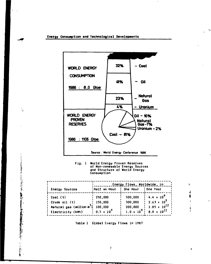$\ddot{\cdot}$ 

盐

女系の多種のあ

"我们的家庭学者"

から終わる



Fig. 1 Morld Energy Proven Reserves of Non-renewable Energy Sources and Structure of World Energy Consumption

 $\frac{1}{\sigma}$ 

4

 $\mathbf{a}$ 

医毒素

 $\blacksquare$ 

 $\bar{\mathbf{t}}$ 

|                              | Energy Flows, Worldwide, in |                     |                                          |  |  |
|------------------------------|-----------------------------|---------------------|------------------------------------------|--|--|
| Energy Sources               | Half an Hour                | One Hour   One Year |                                          |  |  |
| Coal $(t)$                   | 250,000                     | 500,000             | $4.4 \times 10^{9}$                      |  |  |
| Crude $oil$ $(t)$            | 150,000                     | 300,000             | $2.63 \times 10^9$                       |  |  |
| Natural gas (million $m^3$ ) | 100,000                     | 200,000             | $1.85 \times 10^{12}$                    |  |  |
| Electricity (kWh)            | $0.5 \times 10^{7}$         |                     | $1.0 \times 10^{9}$ 8.8 $\times 10^{12}$ |  |  |

Table 1 Global Energy Flows in 19B7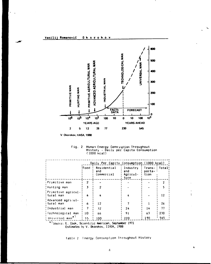$\ddot{\mathbf{z}}$ 



V. Okorokov, IIASA, 1988

|  | Fig. 2 Human Energy Consumption Throughout |
|--|--------------------------------------------|
|  | History - Baily per Capita Consumption     |
|  | $(1000$ kcal)                              |

|                                   |       | Daily Per Capita Consumption (1000 kcal) |                                     |                                  |     |
|-----------------------------------|-------|------------------------------------------|-------------------------------------|----------------------------------|-----|
|                                   | 'Food | Residential<br>and<br>Commercial         | Industry<br>and<br>Agricul-<br>ture | Trans-¦ Total<br>porta-'<br>tion |     |
| Primitive man                     | 2     |                                          |                                     |                                  |     |
| ¦Hunting man                      |       |                                          |                                     |                                  |     |
| (Primitive agricul-<br>itural man | 4     |                                          |                                     |                                  | 12  |
| Advanced agricul-<br>tural man    | 6     | 12                                       |                                     |                                  | 26  |
| Industrial man                    |       | 32                                       | 24                                  | 14                               | 77  |
| fechnological man                 | ١O    | 66                                       | 9 I                                 | 63                               | 230 |
| Universal man                     | 35    | 100                                      | 220                                 | 190                              | 545 |

 $\mathbf{I}$ 

 $\blacksquare$ 

Source: E. Cook, Scientific American, September 1971 Estimates by V. Okorokov, IIASA, 1988

Table 2 Fnergy Consumption Throughout History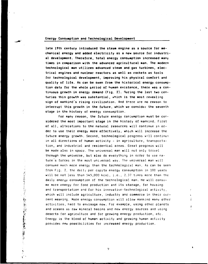#### **Energy Consuaption and Technological Development**

**late 19th century introduced the steam engine as a source for mechanical energy and added electricity as a new source for industrial development. Therefore, total energy consumption increased many times in comparison with the advanced agricultural nan. The modern technological man utilizes advanced steam and gas turbines, electrical engines and nuclear reactors as well as rockets as tools for technological development, improving his physical comfort and quality of life. As can be seen from the historical energy consumption data for the whole period of human existence, there was a con**tinuous growth in energy demand (Fig. 2). During the last two cen**turies this growth was substantial, vhich is the most revealing sign of mankind's rising civilization. And** *Xteve* are **no reason to interrupt this growth in the future, which we consider the seventh stage in the history of energy consumption.** 

**For many reason, the future energy** consumption must **be** considered **the most important stage in the** history of mankind. First of all, alterations to **the** natural resources will continue in order to use their energy more effectively, which will increase the future energy growth. Second, technological progress will continue in all directions of human activity - in agriculture, transportation, and industrial and residential areas. Great progress will be made also in space. The universal man will not only travel through the universe, but also do everything in order to use nature's forces in the most universal way. The universal man will consume much more energy than the technological man. As can be seen from Fig. 2, the daily per capita energy consumption in 100 years will be not less than 545,000 kcal, i.e., 2.37 times more than the daily energy consumption of the technological man. He will consume more energy for food production and its storage, for housing and transportation and for his innovative-technological activity, which will include agriculture, industry and commerce in their current meaning. More energy consumption will allow mankind many other activities, hard to envisage now. For example, using other planets and oceans as raw mineral basins and new energy sources and using deserts for agriculture and for growing energy production, etc. Energy is the blood of human activity and growing human activity provides new possibilities for increased energy production.

 $\hat{c}^2$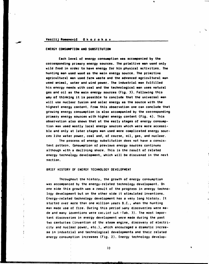#### **Vasilij Roaanovic Okoroko v**

#### **ENERGY CONSUMPTION ANO SUBSTITUTION**

**Each level of energy consuaption aas accoapanied by the corresponding priaary energy sources. The priaitive aan used only aild food in order to have energy for his physical activities. The hunting aan used wood as the aain energy source. The priaitive agricultural aan used fara waste and the advanced agricultural aan used aniaal, water and wind power. The industrial aan fulfilled his energy needs with coal and the technological aan uses natural gas and oil as the Main energy sources (Fig. 3). Following this way of thinking it is possible to conclude that the universal aan will use nuclear fusion and solar energy as the source with the highest energy content. Froa this observation one can conclude that growing energy consuaption is also accoapanied by the corresponding priaary energy sources with higher energy content (Fig. \*) . This observation also shows that at the early stages of energy consuaption aan used aostly local energy sources which were aore accessible and only at later stages aan used aore coaplicated energy sources like water power, coal and, of course, oil, gas, and nuclear.** 

-%

**The process of energy substitution does not have a consistent pattern. Consumption of previous energy sources continues although with a declining share. This is the result of related energy technology developaent, which will be discussed in the next section.** 

#### **BRIEF HISTORY OF ENERGY TECHNOLOGY DEVELOPMENT**

**Throughout the history, the growth of energy consumption was accoapanied by the energy-related technology developaent. On one side this growth was a result of the progress in energy technology development but on the other side it stimulated inventions. Energy-related technology developaent has a very long history. It started over more than one million years B.C., when the hunting man made use of fire. During this period many discoveries were made and many inventions were carried sat 'Tab. 3). The most important discoveries in energy development were made during the past two centuries (invention of the steam engine, discovery of electricity and nuclear power, etc.), which encouraged a dramatic increase in industrial and technological developments and their related energy consumption increases (Fig. 2). Energy technology develop-**

**10**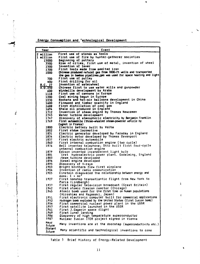**EnerQy Consumption and <sup>T</sup>echnologjcal Development** 

 $\mathcal{L}$ 

• %

| Event<br>Year<br>First use of stones as tools<br>$2$ million<br>First use of fire by hunter-gatherer societies<br>l million<br>Beginning of pottery<br>15000<br>Rise of cities, first use of metal, invention of wheel<br>3500<br>Invention of lever<br>1500<br>First tools made from smelted iron<br>1300<br>Chinese produced natural gas from 3000-ft wells and transported<br>1000<br>the gas in bamboo pipelines; gas was used for space heating and light<br>First use of pulley<br>700<br>First drilling for oil<br>400 |  |
|-------------------------------------------------------------------------------------------------------------------------------------------------------------------------------------------------------------------------------------------------------------------------------------------------------------------------------------------------------------------------------------------------------------------------------------------------------------------------------------------------------------------------------|--|
|                                                                                                                                                                                                                                                                                                                                                                                                                                                                                                                               |  |
|                                                                                                                                                                                                                                                                                                                                                                                                                                                                                                                               |  |
|                                                                                                                                                                                                                                                                                                                                                                                                                                                                                                                               |  |
|                                                                                                                                                                                                                                                                                                                                                                                                                                                                                                                               |  |
|                                                                                                                                                                                                                                                                                                                                                                                                                                                                                                                               |  |
|                                                                                                                                                                                                                                                                                                                                                                                                                                                                                                                               |  |
|                                                                                                                                                                                                                                                                                                                                                                                                                                                                                                                               |  |
|                                                                                                                                                                                                                                                                                                                                                                                                                                                                                                                               |  |
|                                                                                                                                                                                                                                                                                                                                                                                                                                                                                                                               |  |
|                                                                                                                                                                                                                                                                                                                                                                                                                                                                                                                               |  |
| Invention of waterwheel<br>$\frac{8.C.27}{A.0.250}$                                                                                                                                                                                                                                                                                                                                                                                                                                                                           |  |
| Chinese first to use water mills and gunpowder                                                                                                                                                                                                                                                                                                                                                                                                                                                                                |  |
| Windmills development by Arabs<br>600                                                                                                                                                                                                                                                                                                                                                                                                                                                                                         |  |
| First use of cannons in Europe<br>1118                                                                                                                                                                                                                                                                                                                                                                                                                                                                                        |  |
| Coal mining begun in Europe<br>1200<br>Rockets and hot-air balloons development in China                                                                                                                                                                                                                                                                                                                                                                                                                                      |  |
| 1230<br>Firewood and timber scarcity in England                                                                                                                                                                                                                                                                                                                                                                                                                                                                               |  |
| 1600<br>First distillation of coal gas                                                                                                                                                                                                                                                                                                                                                                                                                                                                                        |  |
| 1688<br>Shale oil produced in England<br>1694                                                                                                                                                                                                                                                                                                                                                                                                                                                                                 |  |
| Invention of steam engine by Thomas Newcomen<br>1712                                                                                                                                                                                                                                                                                                                                                                                                                                                                          |  |
| 1743<br>Water turbine development                                                                                                                                                                                                                                                                                                                                                                                                                                                                                             |  |
| Discovery of atmospheric electricity by Benjamin Franklin<br>1747                                                                                                                                                                                                                                                                                                                                                                                                                                                             |  |
| First automobile (three-wheeled steam-powered vehicle by<br>1769                                                                                                                                                                                                                                                                                                                                                                                                                                                              |  |
| Cugnot in France)                                                                                                                                                                                                                                                                                                                                                                                                                                                                                                             |  |
| Electric battery built by Volta<br>1800                                                                                                                                                                                                                                                                                                                                                                                                                                                                                       |  |
| 1802<br>First steam locomotive                                                                                                                                                                                                                                                                                                                                                                                                                                                                                                |  |
| 1831<br>Electric generator developed by Faraday in England                                                                                                                                                                                                                                                                                                                                                                                                                                                                    |  |
| Electric motor developed by Thomas Davenport<br>1834                                                                                                                                                                                                                                                                                                                                                                                                                                                                          |  |
| 1837<br>First electric automobile                                                                                                                                                                                                                                                                                                                                                                                                                                                                                             |  |
| First internal combustion engine (two cycle)<br>1860                                                                                                                                                                                                                                                                                                                                                                                                                                                                          |  |
| Bell invented telephone; Otto built first four-cycle<br>1876                                                                                                                                                                                                                                                                                                                                                                                                                                                                  |  |
| internal combustion engine                                                                                                                                                                                                                                                                                                                                                                                                                                                                                                    |  |
| Edison invented incandescent light bulb<br>1879<br>1881<br>hydroelectric power plant. Godalming, England                                                                                                                                                                                                                                                                                                                                                                                                                      |  |
| irst<br>1883<br>iteam turbine developed                                                                                                                                                                                                                                                                                                                                                                                                                                                                                       |  |
| 1894<br>liesel engine developed                                                                                                                                                                                                                                                                                                                                                                                                                                                                                               |  |
| 1895<br>Discovery of X-rays                                                                                                                                                                                                                                                                                                                                                                                                                                                                                                   |  |
| Wright brothers flew first airplane<br>1903                                                                                                                                                                                                                                                                                                                                                                                                                                                                                   |  |
| Invention of radio communication<br>1904                                                                                                                                                                                                                                                                                                                                                                                                                                                                                      |  |
| Einstein discovered the relationship between energy and<br>1905                                                                                                                                                                                                                                                                                                                                                                                                                                                               |  |
| $mass: E = mc'$                                                                                                                                                                                                                                                                                                                                                                                                                                                                                                               |  |
| 1927<br>First nonstop transatlantic flight from New York to                                                                                                                                                                                                                                                                                                                                                                                                                                                                   |  |
| Paris (Lindbergh)                                                                                                                                                                                                                                                                                                                                                                                                                                                                                                             |  |
| First regular television broadcast (Great Britain)<br>1937                                                                                                                                                                                                                                                                                                                                                                                                                                                                    |  |
| First atomic fission reactor (Chicago)<br>1942                                                                                                                                                                                                                                                                                                                                                                                                                                                                                |  |
| Atomic bomb used for the first time on human populations<br>1945                                                                                                                                                                                                                                                                                                                                                                                                                                                              |  |
| (Hiroshima and Nagasaki, Japan)<br>First electronic computer built for commercial applications                                                                                                                                                                                                                                                                                                                                                                                                                                |  |
| 1951<br>Hydrogen bomb exploded by the United States (first fusion bomb)<br>1952                                                                                                                                                                                                                                                                                                                                                                                                                                               |  |
| First commercial nuclear power plant in the USSR<br>1954                                                                                                                                                                                                                                                                                                                                                                                                                                                                      |  |
| First satellite launched in the USSR<br>1957                                                                                                                                                                                                                                                                                                                                                                                                                                                                                  |  |
| 1961<br>First J.Gagarin space flight                                                                                                                                                                                                                                                                                                                                                                                                                                                                                          |  |
| 1969<br>First lunar landing                                                                                                                                                                                                                                                                                                                                                                                                                                                                                                   |  |
| 1986<br>Discovery of high temperature superconductor                                                                                                                                                                                                                                                                                                                                                                                                                                                                          |  |
| 1987<br>Nuclear fusion ITER project signed in Vienna                                                                                                                                                                                                                                                                                                                                                                                                                                                                          |  |
| Near                                                                                                                                                                                                                                                                                                                                                                                                                                                                                                                          |  |
| Many inventions are at the doorstep (superconductivity etc.)<br>future                                                                                                                                                                                                                                                                                                                                                                                                                                                        |  |
| Distant<br>Many scientific and technological inventions to come                                                                                                                                                                                                                                                                                                                                                                                                                                                               |  |
| future                                                                                                                                                                                                                                                                                                                                                                                                                                                                                                                        |  |

Table 3 Brief History of Energy-Related Development

**t** 

ţ.

ť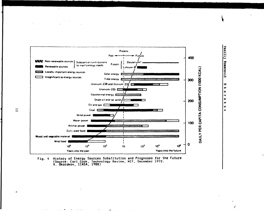Present Past  $\rightarrow$ ← Future 400 **ANY** Non-renewable sources Substantial contributions Deuterium<sup>e</sup> Fusion to man's energy needs: Renewable sources Lithium-6 DAILY PER CAPITA CONSUMPTION (1000 KCAL) **COOL LOCAILY important energy sources** Solar energy **Example Insignificant as energy sources** Tidal energy C 300 Uranium-238 and thorium 232 **OSS** Uranium-235 Geothermal energy Shale oil and tar sands 200 Oil and gas , , Coal **Books** Wind power Water power 100 Animal power Cultivated food Wood and vegetable material Wild food  $\mathbf 0$  $10<sup>6</sup>$  $10<sup>4</sup>$  $10<sup>2</sup>$  $10<sup>4</sup>$ 10<sup>6</sup>  $10<sup>2</sup>$ 10 Years into the future Years into the past

Fig. 4 History of Energy Sources Substitution and Prognoses for the Future (Source: Earl Cook, Technology Review, MIT, December 1972.<br>V. Okorokov, IIASA, 1988)

 $\overline{z}$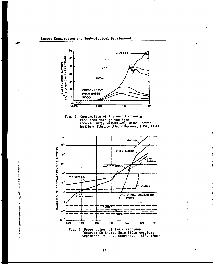





۱)

 $-3.0146$ 

ŧ

こうしょ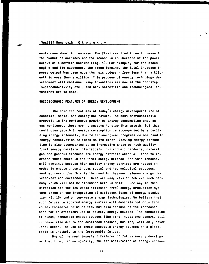#### **Vasilij Romanovic Okoroko v**

**ments cane about in two ways. The first resulted in an increase in the number of machines and the second in an increase of the power output of a certain Machine (Fig. 5). For example, for the steam engine and its successor, the steam turbine, the total increase in power output has been more than six orders - from less than a kilowatt to more than a million. This process of energy technology development will continue. Many inventions are now at the doorstep (superconductivity etc.) and many scientific and technological inventions are to come.** 

'\*

#### **SOCIOECONOMIC FEATURES OF ENERGY DEVELOPMENT**

**The specific features of today's energy development are of economic, social and ecological nature. The most characteristic property is the continuous growth of energy consumption and, as was mentioned, there are no reasons to stop this growth. But this continuous growth in energy consumption is accompanied by a declining energy intensity, due to technological progress on one hand to energy conservation policies on the other. Growing energy consumption is also accompanied by an increasing share of high quality, final energy carriers. Electricity, oil and oil products, natural gas and gaseous products are energy carriers which all tend to increase their share in the final energy balance. And this tendency will continue because high quality energy carriers are needed in order to ensure a continuous social and technological progress. Another reason for this is the need for harmony between energy development and environment. There are many ways to achieve such harmony which will not be discussed here in detail. One way in this direction are the low-waste (emission free) energy production systems based on the integration of different forms of energy production /2, 10/ and on low-waste energy technologies. We believe that such future integrated energy systems will dominate not only from an environmental point of view but also because of the increased need for an efficient use of primary energy sources. The consumption of clean, renewable energy sources like wind, hydro and others, will increase also due to the mentioned reasons, but they will only cover local needs. The use of these renewable energy sources on a global scale is unlikely in the foreseeable future.** 

**One of the most important features of future energy development will be, technologically, the rationalization of energy consum-**

**14**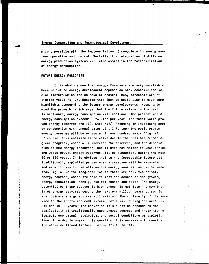#### **Energy Consumption and Technological Development**

**ption, possible with the implementation of computers in energy systems operation and control. Socially, the integration of different energy production systems will also assist in the rationalization of energy consumption.** 

-%.

#### **FUTURE ENERGY FORECASTS**

**It is obvious now that energy forecasts are very unreliable because future energy development depends on many economic and social factors which are unknown at present. Many forecasts are of limited value /4, 7/. Despite this fact we would like to give some highlights concerning the future energy developments, keeping in mind the proverb, which says that tne future exists in the past. As mentioned, energy consumption will continue. The present world**  energy consumption exceeds 8.26 Stoe per year. The total world pro**ven energy reserves are 1106 Gtoe /13/. Assuming an increasing energy consumption with annual rates of 1-2** *%,* **then the world proven energy reserves will be exhausted in one hundred years (Fig. 6). Of course, this estimate is relative due to the possible technological progress, which will increase the reserves, and the discoveries of new energy resources. But it does not matter at what period the world proven energy reserves will be exhausted, during the next 80 or 120 years. It is obvious that in the foreseeable future all traditionally exploited proven energy reserves will be exhausted and we will have to use alternative energy sources. As can be seen from Fig. 6, in the long-term future there are only two primary energy sources, which are able to meet the demand of the growiny energy consumption, namely, nuclear fusion and solar. The energy potential of these sources is high enough to maintain the continuity of energy services during the next one million years or so. But what primary energy sources will maintain the continuity of the service in the short- and medium-term, let's say, during the next 25- -30 and 50-70 years? The answer to this question depends on the availability of traditionally used energy sources and their technological, economical, ecological and social conditions of exploitation. In order to answer this question it is necessary to consider the above mentioned factors. Let us try to do this.** 

*\b*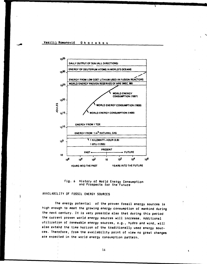

 $Fig. 6$ History of World Energy Consumption<br>and Prospects for the Future

#### AVAILABILITY OF FOSSIL ENERGY SOURCES

The energy potential of the proven fossil energy sources is high enough to meet the growing energy consumption of mankind during the next century. It is very possible also that during this period the current proven world energy sources will increase. Additional utilization of renewable energy sources, e.g., hydro and wind, will also extend the time horizon of the traditionally used energy sources. Therefore, from the availability point of view no great changes are expected in the world energy consumption pattern.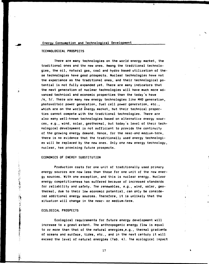#### **Energy Consumption and Technological Development**

#### **TECHNOLOGICAL PROSPECTS**

3

**There are many technologies on the world energy market, the traditional ones and the new ones. Among the traditional technologies, the oil, natural gas, coal and hydro based utilization of these technologies have good prospects. Nuclear technologies have not the experience as the traditional ones, and their technological potential is not fully expanded yet. There are many indicators that the next generation of nuclear technologies will have much more advanced technical and economic properties than the today's have /4, 5/. There are many new energy technologies like MHO generation, photovoltaic power generation, fuel cell power generation, etc., which are on the world energy market, but their technical properties cannot compete with the traditional technologies. There are also many well-known technologies based on alternative energy sources, e.g., wind, solar, geothermal, but today's level of their technological development is not sufficient to provide the continuity of the growing energy demand. Hence, for the near-and medium-term, there is no evidence that the traditionally used energy technologies will be replaced by the new ones. Only one new energy technology, nuclear, has promising future prospects.** 

t

#### **ECONOMICS OF ENERGY SUBSTITUTION**

**Production costs for one unit of traditionally used primary energy sources are now less than those for one unit of the new energy sources. With one exception, and this is nuclear energy. Nuclear energy competitiveness has suffered because of increased standards for reliability and safety. The renewables, e.g., wind, solar, geothermal, due to their low economic potential, can only be considered additional energy sources. Therefore, it is unlikely that the situation will change in the near- or medium-term.** 

#### **ECOLOGICAL PROSPECTS**

**Ecological requirements for future energy development will increase to a great extent. The anthropogenic energy flow is equal to or more than that of the natural energies,e.g., thermal gradients of oceans and surface, tides, etc., and in the next century it will exceed the level of natural energies (Tab. 4). The ecological impact** 

**17**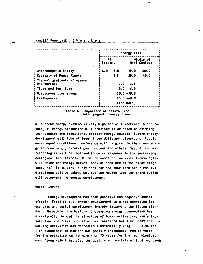**Vasilij Romanovic Okoroko v** 

|                                            |                | Energy (TW)                      |  |  |
|--------------------------------------------|----------------|----------------------------------|--|--|
|                                            | At.<br>Present | Middle of<br><b>Next Century</b> |  |  |
| Anthropogenic Energy                       |                | $6.0 - 7.0$ $55.0 - 100.0$       |  |  |
| Capacity of Power Plants                   | 2.5            | $25.0 - 40.0$                    |  |  |
| Thermal gradients of oceans<br>and surface |                | $2.0 - 2.5$                      |  |  |
| Tides and low tides                        |                | $5.0 - 6.0$                      |  |  |
| Hurricanes (tornadoes)                     |                | $20.0 - 30.0$                    |  |  |
| <b>Earthquakes</b>                         |                | $25.0 - 40.0$                    |  |  |
|                                            |                | (and more)                       |  |  |

**Table 4 Comparison of natural and Anthropogenic Energy Flows** 

**of current energy systems is very high and will increase in the future, if energy production will continue to be based on existing technologies and traditional primary energy sources. Future energy development will take at least three different directions. First, under equal conditions, preference will be given to the clean energy sources, e.g., natural gas, nuclear and others. Second, current technologies Mill be improved in quick response to the increasing ecological requirements. Third, no waste or low waste technologies will enter the energy market, many of them are at the pilot stage today /4/. It is very likely that for the near-term the first two directions will be taken, but for the medium term the third option will determine the energy development.** 

#### **SOCIAL ASPECTS**

**Energy development has both positive and negative social effects. First of all, energy development is a pre-condition for economic and social development thereby improving the living standard. Throughout the history, increasing energy consumption has dramatically changed the structure of human activities; man's leisure time and formal education has increased but time spent for his working activities has decreased substantially (Fig 7). Also the life expectancy of mankind has greatly Increased: from 18 years for the primitive man to more than 75 years for the technological man. Along with this, also the quality and variety of food and goods** 

**IB**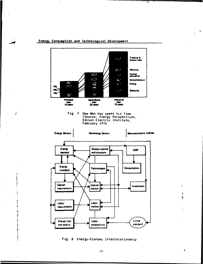

#### Energy Consumption and Technological Development

 $\mathbf{r}$ 

The started

7



Ċ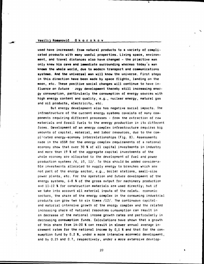#### **Vasilij Romanovic Okoroko v**

used have increased: from natural products to a variety of complicated products with many useful properties. Living space, environment, and travel distances also have changed - the primitive man only knew his **cave and immediate** surrounding whereas today's man knows the whole world, due to modern transport and communications systems. And the universal man will know the universe. First steps in this direction **have** been made by space flights, landing on the moon, etc. These positive social changes will continue to have influence on future  $2rqy$  development thereby still increasing energy consumption, particularly the consumption of energy sources with high energy content and quality, e.g., nuclear energy, natural gas and oil products, electricity, etc.

But energy development also has negative social impacts. The infrastructure of the current energy systems consists of many components requiring different processes - from the extraction of raw materials and fossil fuels to the energy production in its different forms. Development of an energy complex infrastructure requires big amounts of capital, material, and labor resources, due to the complicated energy-economy interrelationships (Fig. 8). Assessments made in the USSR for the energy complex requirements of a national economy show that over 30 % of all capital investments in industry and more than 19 X of the aggregate capital investments of the whole economy are allocated to the development of fuel and power production systems /6, 10, 12/. To this should be added considerable investments allocated to supply energy to branches which are not part of ths energy sector, e.g., boiler stations, small-size power plants, etc. For the operation and future development of the energy systems, 6-8 X of the gross output for machinery production and  $11-12$  % for construction materials are used directly; but if we take into account all material inputs of the relate, economic sectors, the share of the energy complex in the consuming industrial products can grow two to six times /12/. The continuous capitaland material intensive growth of the energy complex and the related increasing share of national resources consumption can result in an decrease of the national income growth rates and particularly in decreasing consumption funds. Calculations have shown that a growth of this share from 14-20 X can result in slower annual average increment rates for the national income by 0,1 X and that for the consumption fund by 0.2 %, under a more intensive economic development, and by 0.25 and 0.7, respectively, under a more extensive develop-

20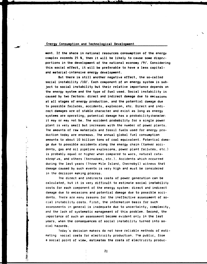#### **Energy Consumption and Technological Development**

**ment. If the share in national resources consumption of the energy**  complex exceeds 25 %, then it will be likely to cause some dispre**portions in the development of the national economy /9/. Considering**  this social effect, it will be preferable to have a less capital**and material-intensive energy development.** 

\*

**But there is still another negative effect, the so-called social instability /107. Each component of an energy system is subject to social instability but their relative importance depends on the energy system and the type of fuel used. Social instability is caused by two factors: direct and indirect damage due to emissions at all stages of energy production, and the potential damage due to possible failures, accidents, explosion, etc. Direct and indirect damages are of stable character and exist as long as energy systems are operating; potential damage has a probability character: it may or may not be. The accident probability for a single power plant is very small but increases with the number of power plants. The amounts of raw materials and fossil fuels used for energy production today are enormous. The annual global fuel consumption amounts to about 10 billion tons of coal equivalent. Potential damage due to possible accidents along the energy chain (tanker accidents, gas and oil pipeline explosions, power plant failures, etc.) is probably equal or higher when compared to wars, natural cata**strop'es, and others (tornadoes, etc.). Accidents which occurred **during the last years (Three Mile Island, Chernobyl) witness that damage caused by such events is very high and must be considered in the decision making process.** 

**The direct and indirects costs of power generation can be calculated, but it is very difficult to estimate social instability costs for each component of the energy system: direct and indirect damage due to emissions and potential damage due to possible accidents. There are many reasons for the ineffective assessment of social instability costs. First, the information basis for such assessments in general is inadequate due to uncertainty, complexity, and the lack of systematic management of this problem. Second, the importance of such an assessment became evident only in the last years, when the consequences of social instability turned into social hazards.** 

Today's decision makers do not have reliable methods of esti**mating social costs for electricity production. The public, from a social point of view, estimates the costs of electricity produc-**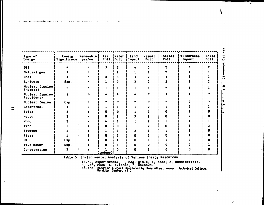| Type of<br>Energy             | Energy<br>Significance   yes/no | Renewable | Air          | <b>Water</b><br>$P011$ . $P011$ . | Land<br>Impact | Visual<br>Poll. | Thermal<br>Poll. | Wilderness<br>Impact | Noise<br>Poll. |
|-------------------------------|---------------------------------|-----------|--------------|-----------------------------------|----------------|-----------------|------------------|----------------------|----------------|
| <b>Oil</b>                    |                                 | N.        | 3            | $\mathbf{2}$                      |                |                 | $\mathbf{2}$     |                      | $\mathbf{2}$   |
| <b>Natural gas</b>            |                                 | N         |              |                                   |                |                 |                  |                      |                |
| <b>Coal</b>                   |                                 | N         |              | 3                                 |                | $\mathbf{z}$    |                  |                      |                |
| Synfuels                      | Exp.                            | N         |              | 3                                 |                | $\mathbf{2}$    |                  |                      | $\mathbf{2}$   |
| Nuclear fission<br>(normal)   | $\overline{2}$                  | N         |              | ı                                 |                |                 | 2                |                      |                |
| Nuclear fission<br>(accident) |                                 | N         |              |                                   |                | ?               | 3                |                      | 7              |
| Nuclear fusion                | Exp.                            | ?         | ?            | ?                                 | 7              | ?               | 2                |                      | 7              |
| Geothermal                    |                                 | ?         | 1            |                                   |                | 2               |                  |                      |                |
| Solar                         | 2                               |           | 0            | 0                                 |                |                 | n                |                      | 0              |
| Hydro                         |                                 |           | 0            |                                   |                |                 |                  |                      | п              |
| Wood                          |                                 |           |              |                                   |                | $\mathbf{2}$    |                  |                      |                |
| Wind                          |                                 |           | $\mathbf{O}$ | O                                 |                | 2               | n                |                      | 7              |
| <b>Biomass</b>                |                                 |           |              | 1                                 | $\mathbf{2}$   |                 |                  |                      | Π              |
| <b>Tidal</b>                  |                                 | ?         | $\mathbf 0$  |                                   | 0              |                 | п                |                      | 0              |
| <b>OTEC</b>                   | Exp.                            |           | O            |                                   | 0              |                 |                  |                      | O              |
| Wave power                    | Exp.                            |           | $\mathbf{a}$ |                                   | $\mathbf{0}$   | $\mathbf 2$     | Ω                |                      |                |
| Conservation                  | з                               |           | (indoor)'    | O                                 | 0              |                 | n                | n                    | n              |

Table 5 Environmental Analysis of Various Energy Resources

(Exp., experimental; 0, negligible; 1, some; 2, considerable;<br>3, very much; 4, extreme; ?, unknown.<br>Source: Based on a chart developed by Jane Albee, Vermont Technical College,<br>Randolph Center, VT.)

٠.

 $\overline{z}$ 

 $\sim$ 

 $\sim$  $\sim$ 

 $\sim 10^7$ 

ை**ு நிலையுள்ளதல்?! ஐவேல் விருவிட்டியில் பிட்டியில் பட்டு??? அவ்வாற்பிட கல்லி பிரைவையும் உடிய பட்டில் <sup>பிர</sup>ிட்டிட்டிட்டிட்டு**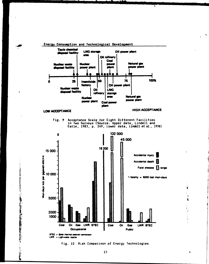

 $\ddot{}$ 

Î.

 $\mathbf{\hat{A}}$ 

ş

 $\blacksquare$ 

Ĵ

このままの中では日本の日本を見ているので、「このもののです」を、「この「この」を、「この」を、「この「この」を、「この」を、「この」と、「この」と、「この」と、「この」と、「この」と、「この」と、「こ

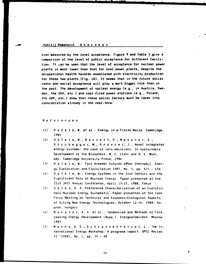#### **Vasilij Romanovic Okoroko v**

**tion Measured by the level acceptance. Figure 9 and Table 5 give a comparison of the level of public acceptance for different facilities. It can be seen that the level of acceptance for nuclear power plants is auch lower than that for coal power plants, despite the occupational health hazards associated with electricity production for those two plants (Fig. 10). It seems that in the future social costs and social acceptance will play a »urn bigger role than in the past. The development of nuclear energy (e.g., in Austria, Sweden, the USA, etc.) and coal-fired power stations (e.g., Poland, the GDR, etc.) show that these social factors Must be taken into consideration already in the near-term.** 

#### Reference s

- *ill* H a **f** e 1 **e, W. et al.:** Energy in **a** Finite **World.** Cambridge, 1981
- *111* H a f e 1 e, **W.;** B a r n e **r t,** H.; **M** e s s n e r, S. ; Strubegger, M.; Anderer, J.: Novel integrated energy systems: the case of zero emissions. In Sustainable Development of the Biosphere, *V.* C. Clark and R. E. Munn. eds. Cambridge University Press, 1986
- /3/ H a f e 1 e, W.: Fast breeder futures after Chernobyl. Energy Exploration and Exploitation 1987, No. 5, pp. 415 - 434
- /4/ H ä f e 1 e, W.: Energy Systems in the 21st Century and the Significant Role of Nuclear Energy. Paper presented at the 21st JAIF Annual Conference, April 15-15, 1988, Tokyo
- /5/ H a r m s, A. A.: Preference Characterization of an Evolutionary Nuclear Energy Systematic. Paper presented at the Task Force Meeting on Technical and Economic-Ecological Aspects of Siting New Energy Technologies, October 12-14, 1988, Sopron. Hungary
- */(•/* M a k a r o v, A. A. et al. : Tendencies and Methods of Forecasting Energy Development (Russ.). Energoatomizdat. Moscow 1987
- *111* Manne , A. S.jSchrattenho l zer , L.; The International Energy Workshop. A progress report. OPEC Review 12 0988), No. 1, pp. 35 - 48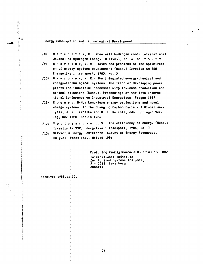#### **Energy Consumption and Technological Development**

- **/8/ Harchetti , C : When will hydrogen come? International Journal of Hydrogen Energy 10 (1985), No. 4, pp. 215 - 219**
- **/9/ Okorokov , V. R.: Tasks and problems of the optimization of energy systems development (Russ.) Izvestia AN SSR. Energetika i transport. 1985, No. 5**
- **/107 Okorokov , V. R.: The integrated energy-chemical and energy-technological systems: the trend of developing power plants and industrial processes with low-cost production and minimal emissions (Russ.). Proceedings of the 12th International Conference on Industrial Energetics, Prague 1987**
- **/ll/ Rogner , H-H.: Long-term energy projections and novel energy systems. In The Changing Carbon Cycle - A Global Analysis,** *3.* **R. Trabalka and 0. E. Reichle, eds. Springer Verlag, New York, Berlin 1986**
- **/12/ Vartazarova , L.S.: The efficiency of energy (Russ.) Izvestia AN SSR, Energetika i transport, 1984, No. 3**
- **/13/ WEC-World Energy Conference: Survey of Energy Resources. Holywell Press Ltd., Oxford 1986**

**Prof. Ing.Vasilij RomanoviC Okoroko v , DrSc. International Institute for Applied Systems Analysis, A - 2361 Laxenburg Austria** 

**Received 1988.11 10.** 

 $\frac{1}{2}$ 

 $\frac{1}{2} \in$